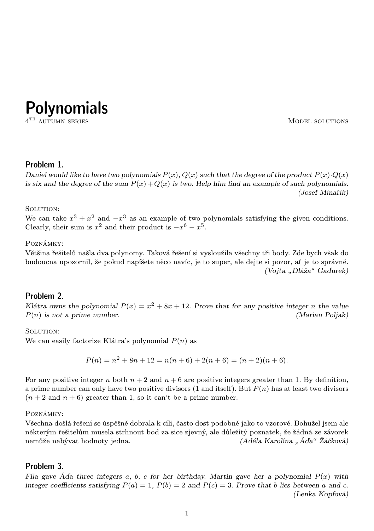**Polynomials** 

4

MODEL SOLUTIONS

# Problem 1.

Daniel would like to have two polynomials  $P(x)$ ,  $Q(x)$  such that the degree of the product  $P(x)$ .  $Q(x)$ is six and the degree of the sum  $P(x) + Q(x)$  is two. Help him find an example of such polynomials. (Josef Minařík)

SOLUTION:

We can take  $x^3 + x^2$  and  $-x^3$  as an example of two polynomials satisfying the given conditions. Clearly, their sum is  $x^2$  and their product is  $-x^6 - x^5$ .

## Poznámky:

Většina řešitelů našla dva polynomy. Taková řešení si vysloužila všechny tři body. Zde bych však do budoucna upozornil, že pokud napíšete něco navíc, je to super, ale dejte si pozor, ať je to správně. (Vojta "Dláža" Gaďurek)

## Problem 2.

Klátra owns the polynomial  $P(x) = x^2 + 8x + 12$ . Prove that for any positive integer n the value  $P(n)$  is not a prime number. (Marian Poljak)

SOLUTION:

We can easily factorize Klátra's polynomial  $P(n)$  as

$$
P(n) = n2 + 8n + 12 = n(n + 6) + 2(n + 6) = (n + 2)(n + 6).
$$

For any positive integer n both  $n + 2$  and  $n + 6$  are positive integers greater than 1. By definition, a prime number can only have two positive divisors (1 and itself). But  $P(n)$  has at least two divisors  $(n+2 \text{ and } n+6)$  greater than 1, so it can't be a prime number.

Poznámky:

Všechna došlá řešení se úspěšně dobrala k cíli, často dost podobně jako to vzorové. Bohužel jsem ale některým řešitelům musela strhnout bod za sice zjevný, ale důležitý poznatek, že žádná ze závorek nemůže nabývat hodnoty jedna. (Adéla Karolína "Áďa" Žáčková)

## Problem 3.

Fíla gave Áda three integers a, b, c for her birthday. Martin gave her a polynomial  $P(x)$  with integer coefficients satisfying  $P(a) = 1$ ,  $P(b) = 2$  and  $P(c) = 3$ . Prove that b lies between a and c. (Lenka Kopfová)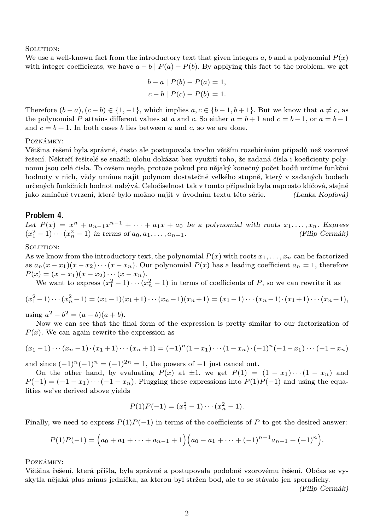SOLUTION:

We use a well-known fact from the introductory text that given integers a, b and a polynomial  $P(x)$ with integer coefficients, we have  $a - b \mid P(a) - P(b)$ . By applying this fact to the problem, we get

$$
b - a | P(b) - P(a) = 1,
$$
  

$$
c - b | P(c) - P(b) = 1.
$$

Therefore  $(b-a)$ ,  $(c - b) \in \{1, -1\}$ , which implies  $a, c \in \{b-1, b+1\}$ . But we know that  $a \neq c$ , as the polynomial P attains different values at a and c. So either  $a = b + 1$  and  $c = b - 1$ , or  $a = b - 1$ and  $c = b + 1$ . In both cases b lies between a and c, so we are done.

#### Poznámky:

Většina řešení byla správně, často ale postupovala trochu větším rozebíráním případů než vzorové řešení. Někteří řešitelé se snažili úlohu dokázat bez využití toho, že zadaná čísla i koeficienty polynomu jsou celá čísla. To ovšem nejde, protože pokud pro nějaký konečný počet bodů určíme funkční hodnoty v nich, vždy umíme najít polynom dostatečně velkého stupně, který v zadaných bodech určených funkčních hodnot nabývá. Celočíselnost tak v tomto případně byla naprosto klíčová, stejně jako zmíněné tvrzení, které bylo možno najít v úvodním textu této série. (Lenka Kopfová)

## Problem 4.

Let  $P(x) = x^n + a_{n-1}x^{n-1} + \cdots + a_1x + a_0$  be a polynomial with roots  $x_1, \ldots, x_n$ . Express  $(x_1^2-1)\cdots(x_n^2-1)$  in terms of  $a_0, a_1, \ldots, a_{n-1}$ . (Filip Čermák)

#### SOLUTION:

As we know from the introductory text, the polynomial  $P(x)$  with roots  $x_1, \ldots, x_n$  can be factorized as  $a_n(x-x_1)(x-x_2)\cdots(x-x_n)$ . Our polynomial  $P(x)$  has a leading coefficient  $a_n=1$ , therefore  $P(x) = (x - x_1)(x - x_2) \cdots (x - x_n).$ 

We want to express  $(x_1^2 - 1) \cdots (x_n^2 - 1)$  in terms of coefficients of P, so we can rewrite it as

$$
(x_1^2-1)\cdots(x_n^2-1)=(x_1-1)(x_1+1)\cdots(x_n-1)(x_n+1)=(x_1-1)\cdots(x_n-1)\cdot(x_1+1)\cdots(x_n+1),
$$

using  $a^2 - b^2 = (a - b)(a + b)$ .

Now we can see that the final form of the expression is pretty similar to our factorization of  $P(x)$ . We can again rewrite the expression as

$$
(x_1-1)\cdots(x_n-1)\cdot(x_1+1)\cdots(x_n+1)=(-1)^n(1-x_1)\cdots(1-x_n)\cdot(-1)^n(-1-x_1)\cdots(-1-x_n)
$$

and since  $(-1)^n(-1)^n = (-1)^{2n} = 1$ , the powers of  $-1$  just cancel out.

On the other hand, by evaluating  $P(x)$  at  $\pm 1$ , we get  $P(1) = (1 - x_1) \cdots (1 - x_n)$  and  $P(-1) = (-1 - x_1) \cdots (-1 - x_n)$ . Plugging these expressions into  $P(1)P(-1)$  and using the equalities we've derived above yields

$$
P(1)P(-1) = (x_1^2 - 1) \cdots (x_n^2 - 1).
$$

Finally, we need to express  $P(1)P(-1)$  in terms of the coefficients of P to get the desired answer:

$$
P(1)P(-1) = (a_0 + a_1 + \cdots + a_{n-1} + 1)(a_0 - a_1 + \cdots + (-1)^{n-1}a_{n-1} + (-1)^n).
$$

Poznámky:

Většina řešení, která přišla, byla správně a postupovala podobně vzorovému řešení. Občas se vyskytla nějaká plus mínus jednička, za kterou byl stržen bod, ale to se stávalo jen sporadicky.

(Filip Čermák)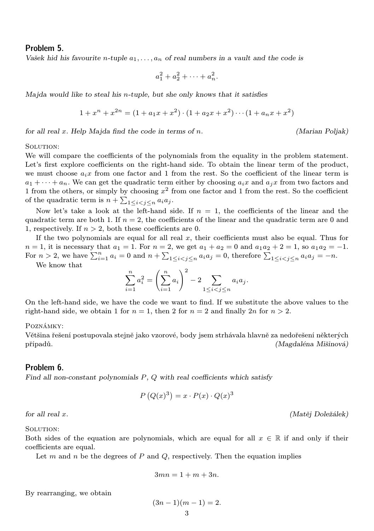## Problem 5.

Vašek hid his favourite n-tuple  $a_1, \ldots, a_n$  of real numbers in a vault and the code is

$$
a_1^2 + a_2^2 + \dots + a_n^2.
$$

Majda would like to steal his n-tuple, but she only knows that it satisfies

$$
1 + xn + x2n = (1 + a1x + x2) \cdot (1 + a2x + x2) \cdot \cdot \cdot (1 + anx + x2)
$$

for all real x. Help Majda find the code in terms of n. (Marian Poljak)

SOLUTION:

We will compare the coefficients of the polynomials from the equality in the problem statement. Let's first explore coefficients on the right-hand side. To obtain the linear term of the product, we must choose  $a_i x$  from one factor and 1 from the rest. So the coefficient of the linear term is  $a_1 + \cdots + a_n$ . We can get the quadratic term either by choosing  $a_i x$  and  $a_j x$  from two factors and 1 from the others, or simply by choosing  $x^2$  from one factor and 1 from the rest. So the coefficient of the quadratic term is  $n + \sum_{1 \leq i < j \leq n} a_i a_j$ .

Now let's take a look at the left-hand side. If  $n = 1$ , the coefficients of the linear and the quadratic term are both 1. If  $n = 2$ , the coefficients of the linear and the quadratic term are 0 and 1, respectively. If  $n > 2$ , both these coefficients are 0.

If the two polynomials are equal for all real  $x$ , their coefficients must also be equal. Thus for  $n = 1$ , it is necessary that  $a_1 = 1$ . For  $n = 2$ , we get  $a_1 + a_2 = 0$  and  $a_1a_2 + 2 = 1$ , so  $a_1a_2 = -1$ . For  $n > 2$ , we have  $\sum_{i=1}^{n} a_i = 0$  and  $n + \sum_{1 \leq i < j \leq n} a_i a_j = 0$ , therefore  $\sum_{1 \leq i < j \leq n} a_i a_j = -n$ .

We know that

$$
\sum_{i=1}^{n} a_i^2 = \left(\sum_{i=1}^{n} a_i\right)^2 - 2 \sum_{1 \le i < j \le n} a_i a_j.
$$

On the left-hand side, we have the code we want to find. If we substitute the above values to the right-hand side, we obtain 1 for  $n = 1$ , then 2 for  $n = 2$  and finally  $2n$  for  $n > 2$ .

### Poznámky:

Většina řešení postupovala stejně jako vzorové, body jsem strhávala hlavně za nedořešení některých případů. (Magdaléna Mišinová)

#### Problem 6.

Find all non-constant polynomials  $P$ ,  $Q$  with real coefficients which satisfy

$$
P(Q(x)^3) = x \cdot P(x) \cdot Q(x)^3
$$

for all real x. (Matěj Doležálek)

SOLUTION:

Both sides of the equation are polynomials, which are equal for all  $x \in \mathbb{R}$  if and only if their coefficients are equal.

Let m and n be the degrees of P and  $Q$ , respectively. Then the equation implies

$$
3mn = 1 + m + 3n.
$$

By rearranging, we obtain

$$
(3n-1)(m-1) = 2.
$$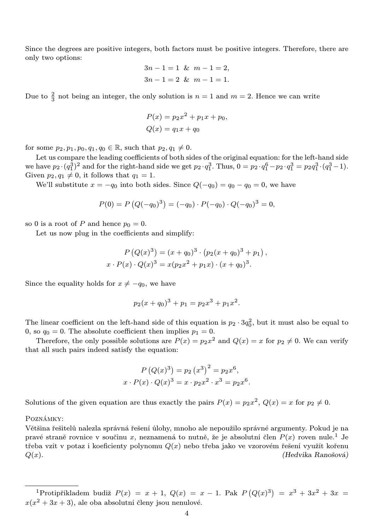Since the degrees are positive integers, both factors must be positive integers. Therefore, there are only two options:

$$
3n - 1 = 1 \& m - 1 = 2,
$$
  

$$
3n - 1 = 2 \& m - 1 = 1.
$$

Due to  $\frac{2}{3}$  not being an integer, the only solution is  $n = 1$  and  $m = 2$ . Hence we can write

$$
P(x) = p_2 x^2 + p_1 x + p_0,
$$
  
\n
$$
Q(x) = q_1 x + q_0
$$

for some  $p_2, p_1, p_0, q_1, q_0 \in \mathbb{R}$ , such that  $p_2, q_1 \neq 0$ .

Let us compare the leading coefficients of both sides of the original equation: for the left-hand side we have  $p_2 \cdot (q_1^3)^2$  and for the right-hand side we get  $p_2 \cdot q_1^3$ . Thus,  $0 = p_2 \cdot q_1^6 - p_2 \cdot q_1^3 = p_2 q_1^3 \cdot (q_1^3 - 1)$ . Given  $p_2, q_1 \neq 0$ , it follows that  $q_1 = 1$ .

We'll substitute  $x = -q_0$  into both sides. Since  $Q(-q_0) = q_0 - q_0 = 0$ , we have

$$
P(0) = P(Q(-q_0)^3) = (-q_0) \cdot P(-q_0) \cdot Q(-q_0)^3 = 0,
$$

so 0 is a root of P and hence  $p_0 = 0$ .

Let us now plug in the coefficients and simplify:

$$
P(Q(x)^{3}) = (x + q_{0})^{3} \cdot (p_{2}(x + q_{0})^{3} + p_{1}),
$$
  

$$
x \cdot P(x) \cdot Q(x)^{3} = x(p_{2}x^{2} + p_{1}x) \cdot (x + q_{0})^{3}.
$$

Since the equality holds for  $x \neq -q_0$ , we have

$$
p_2(x+q_0)^3 + p_1 = p_2x^3 + p_1x^2.
$$

The linear coefficient on the left-hand side of this equation is  $p_2 \cdot 3q_0^2$ , but it must also be equal to 0, so  $q_0 = 0$ . The absolute coefficient then implies  $p_1 = 0$ .

Therefore, the only possible solutions are  $P(x) = p_2 x^2$  and  $Q(x) = x$  for  $p_2 \neq 0$ . We can verify that all such pairs indeed satisfy the equation:

$$
P(Q(x)^{3}) = p_{2}(x^{3})^{2} = p_{2}x^{6},
$$
  

$$
x \cdot P(x) \cdot Q(x)^{3} = x \cdot p_{2}x^{2} \cdot x^{3} = p_{2}x^{6}.
$$

Solutions of the given equation are thus exactly the pairs  $P(x) = p_2 x^2$ ,  $Q(x) = x$  for  $p_2 \neq 0$ .

Poznámky:

Většina řešitelů nalezla správná řešení úlohy, mnoho ale nepoužilo správné argumenty. Pokud je na pravé straně rovnice v součinu x, neznamená to nutně, že je absolutní člen  $P(x)$  roven nule.<sup>1</sup> Je třeba vzít v potaz i koeficienty polynomu  $Q(x)$  nebo třeba jako ve vzorovém řešení využít kořenu  $Q(x)$ . (Hedvika Ranošová)

<sup>&</sup>lt;sup>1</sup>Protipříkladem budiž  $P(x) = x + 1$ ,  $Q(x) = x - 1$ . Pak  $P(Q(x)^3) = x^3 + 3x^2 + 3x$  $x(x^2+3x+3)$ , ale oba absolutní členy jsou nenulové.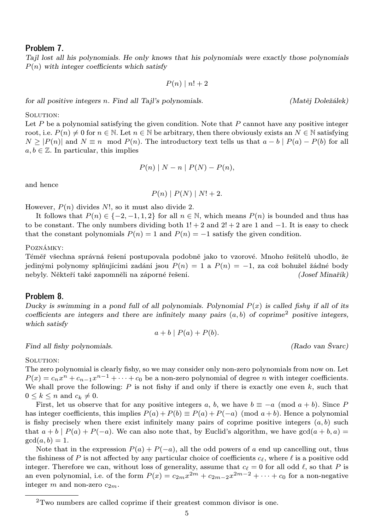# Problem 7.

Tajl lost all his polynomials. He only knows that his polynomials were exactly those polynomials  $P(n)$  with integer coefficients which satisfy

$$
P(n) \mid n! + 2
$$

for all positive integers n. Find all Tajl's polynomials. (Matěj Doležálek)

SOLUTION:

Let  $P$  be a polynomial satisfying the given condition. Note that  $P$  cannot have any positive integer root, i.e.  $P(n) \neq 0$  for  $n \in \mathbb{N}$ . Let  $n \in \mathbb{N}$  be arbitrary, then there obviously exists an  $N \in \mathbb{N}$  satisfying  $N \geq |P(n)|$  and  $N \equiv n \mod P(n)$ . The introductory text tells us that  $a - b \mid P(a) - P(b)$  for all  $a, b \in \mathbb{Z}$ . In particular, this implies

$$
P(n) | N - n | P(N) - P(n),
$$

and hence

$$
P(n) | P(N) | N! + 2.
$$

However,  $P(n)$  divides N!, so it must also divide 2.

It follows that  $P(n) \in \{-2, -1, 1, 2\}$  for all  $n \in \mathbb{N}$ , which means  $P(n)$  is bounded and thus has to be constant. The only numbers dividing both  $1! + 2$  and  $2! + 2$  are 1 and  $-1$ . It is easy to check that the constant polynomials  $P(n) = 1$  and  $P(n) = -1$  satisfy the given condition.

Poznámky:

Téměř všechna správná řešení postupovala podobně jako to vzorové. Mnoho řešitelů uhodlo, že jedinými polynomy splňujícími zadání jsou  $P(n) = 1$  a  $P(n) = -1$ , za což bohužel žádné body nebyly. Někteří také zapomněli na záporné řešení. (Josef Minařík)

### Problem 8.

Ducky is swimming in a pond full of all polynomials. Polynomial  $P(x)$  is called fishy if all of its coefficients are integers and there are infinitely many pairs  $(a, b)$  of coprime<sup>2</sup> positive integers, which satisfy

$$
a+b\mid P(a)+P(b).
$$

Find all fishy polynomials. (Rado van Švarc)

SOLUTION:

The zero polynomial is clearly fishy, so we may consider only non-zero polynomials from now on. Let  $P(x) = c_n x^n + c_{n-1} x^{n-1} + \cdots + c_0$  be a non-zero polynomial of degree *n* with integer coefficients. We shall prove the following:  $P$  is not fishy if and only if there is exactly one even  $k$ , such that  $0 \leq k \leq n$  and  $c_k \neq 0$ .

First, let us observe that for any positive integers a, b, we have  $b \equiv -a \pmod{a+b}$ . Since P has integer coefficients, this implies  $P(a) + P(b) \equiv P(a) + P(-a) \pmod{a+b}$ . Hence a polynomial is fishy precisely when there exist infinitely many pairs of coprime positive integers  $(a, b)$  such that  $a + b \mid P(a) + P(-a)$ . We can also note that, by Euclid's algorithm, we have  $gcd(a + b, a)$  $gcd(a, b) = 1.$ 

Note that in the expression  $P(a) + P(-a)$ , all the odd powers of a end up cancelling out, thus the fishiness of P is not affected by any particular choice of coefficients  $c_\ell$ , where  $\ell$  is a positive odd integer. Therefore we can, without loss of generality, assume that  $c_\ell = 0$  for all odd  $\ell$ , so that P is an even polynomial, i.e. of the form  $P(x) = c_{2m}x^{2m} + c_{2m-2}x^{2m-2} + \cdots + c_0$  for a non-negative integer m and non-zero  $c_{2m}$ .

<sup>2</sup>Two numbers are called coprime if their greatest common divisor is one.